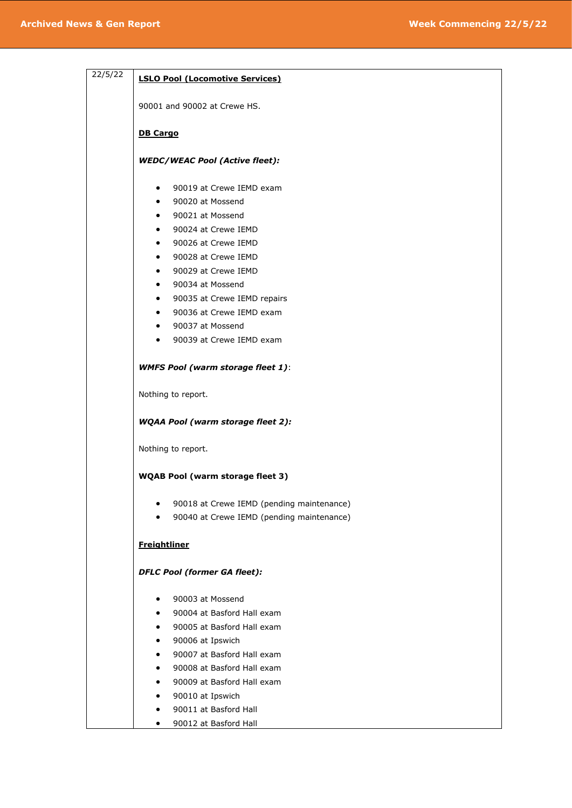| 22/5/22 | <b>LSLO Pool (Locomotive Services)</b>                 |
|---------|--------------------------------------------------------|
|         | 90001 and 90002 at Crewe HS.                           |
|         | <b>DB Cargo</b>                                        |
|         | <b>WEDC/WEAC Pool (Active fleet):</b>                  |
|         | 90019 at Crewe IEMD exam<br>$\bullet$                  |
|         | 90020 at Mossend<br>$\bullet$                          |
|         | 90021 at Mossend<br>$\bullet$                          |
|         | 90024 at Crewe IEMD<br>$\bullet$                       |
|         | 90026 at Crewe IEMD<br>$\bullet$                       |
|         | 90028 at Crewe IEMD<br>$\bullet$                       |
|         | 90029 at Crewe IEMD<br>$\bullet$                       |
|         | 90034 at Mossend<br>$\bullet$                          |
|         | 90035 at Crewe IEMD repairs<br>$\bullet$               |
|         | 90036 at Crewe IEMD exam<br>$\bullet$                  |
|         | 90037 at Mossend<br>$\bullet$                          |
|         | 90039 at Crewe IEMD exam<br>$\bullet$                  |
|         | <b>WMFS Pool (warm storage fleet 1):</b>               |
|         | Nothing to report.                                     |
|         | <b>WQAA Pool (warm storage fleet 2):</b>               |
|         |                                                        |
|         | Nothing to report.                                     |
|         | WQAB Pool (warm storage fleet 3)                       |
|         | 90018 at Crewe IEMD (pending maintenance)<br>$\bullet$ |
|         | 90040 at Crewe IEMD (pending maintenance)<br>$\bullet$ |
|         | <b>Freightliner</b>                                    |
|         | <b>DFLC Pool (former GA fleet):</b>                    |
|         | 90003 at Mossend                                       |
|         | 90004 at Basford Hall exam<br>$\bullet$                |
|         | 90005 at Basford Hall exam<br>$\bullet$                |
|         | 90006 at Ipswich<br>$\bullet$                          |
|         | 90007 at Basford Hall exam<br>$\bullet$                |
|         | 90008 at Basford Hall exam<br>$\bullet$                |
|         | 90009 at Basford Hall exam<br>$\bullet$                |
|         | 90010 at Ipswich<br>$\bullet$                          |
|         | 90011 at Basford Hall                                  |
|         | 90012 at Basford Hall<br>$\bullet$                     |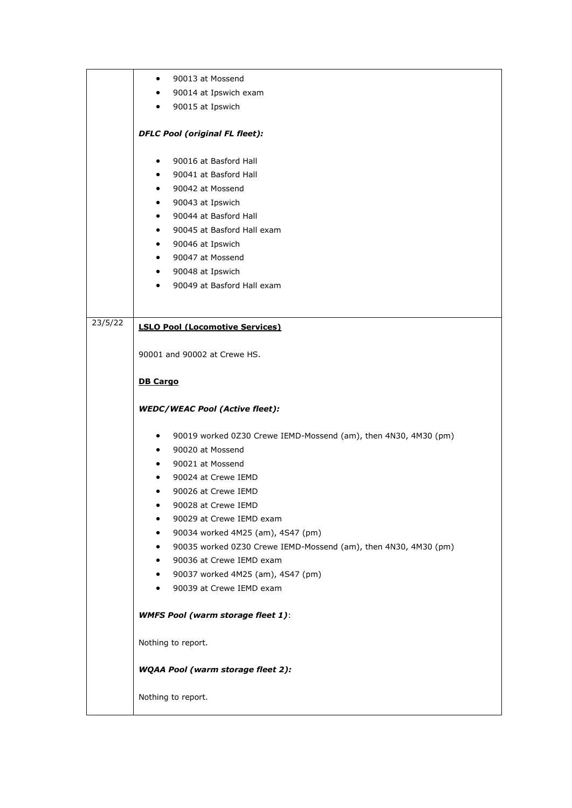|         | 90013 at Mossend<br>$\bullet$                                                                    |
|---------|--------------------------------------------------------------------------------------------------|
|         | 90014 at Ipswich exam<br>$\bullet$                                                               |
|         | 90015 at Ipswich<br>$\bullet$                                                                    |
|         |                                                                                                  |
|         | <b>DFLC Pool (original FL fleet):</b>                                                            |
|         | 90016 at Basford Hall<br>$\bullet$                                                               |
|         | 90041 at Basford Hall<br>$\bullet$                                                               |
|         | 90042 at Mossend<br>$\bullet$                                                                    |
|         | 90043 at Ipswich<br>$\bullet$                                                                    |
|         | 90044 at Basford Hall<br>$\bullet$                                                               |
|         | 90045 at Basford Hall exam<br>$\bullet$                                                          |
|         | 90046 at Ipswich<br>$\bullet$                                                                    |
|         | 90047 at Mossend<br>$\bullet$                                                                    |
|         | 90048 at Ipswich<br>$\bullet$                                                                    |
|         | 90049 at Basford Hall exam<br>$\bullet$                                                          |
|         |                                                                                                  |
| 23/5/22 |                                                                                                  |
|         | <b>LSLO Pool (Locomotive Services)</b>                                                           |
|         |                                                                                                  |
|         | 90001 and 90002 at Crewe HS.                                                                     |
|         | <b>DB Cargo</b>                                                                                  |
|         |                                                                                                  |
|         | <b>WEDC/WEAC Pool (Active fleet):</b>                                                            |
|         | $\bullet$                                                                                        |
|         | 90019 worked 0Z30 Crewe IEMD-Mossend (am), then 4N30, 4M30 (pm)<br>90020 at Mossend<br>$\bullet$ |
|         | 90021 at Mossend<br>$\bullet$                                                                    |
|         | 90024 at Crewe IEMD<br>٠                                                                         |
|         | 90026 at Crewe IEMD<br>٠                                                                         |
|         | 90028 at Crewe IEMD<br>٠                                                                         |
|         | 90029 at Crewe IEMD exam                                                                         |
|         | 90034 worked 4M25 (am), 4S47 (pm)                                                                |
|         | 90035 worked 0Z30 Crewe IEMD-Mossend (am), then 4N30, 4M30 (pm)<br>$\bullet$                     |
|         | 90036 at Crewe IEMD exam<br>$\bullet$                                                            |
|         | 90037 worked 4M25 (am), 4S47 (pm)<br>$\bullet$                                                   |
|         | 90039 at Crewe IEMD exam<br>٠                                                                    |
|         | <b>WMFS Pool (warm storage fleet 1):</b>                                                         |
|         |                                                                                                  |
|         | Nothing to report.                                                                               |
|         | <b>WQAA Pool (warm storage fleet 2):</b>                                                         |
|         | Nothing to report.                                                                               |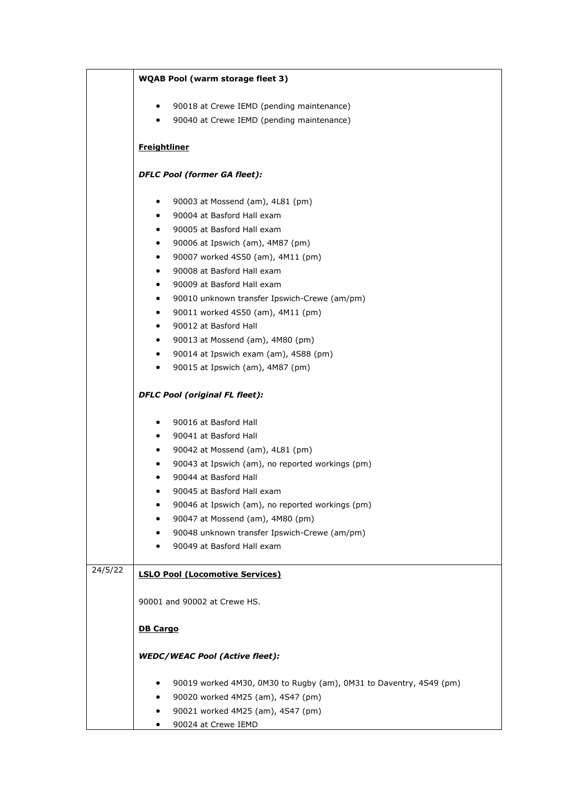|         | <b>WQAB Pool (warm storage fleet 3)</b>                                 |  |
|---------|-------------------------------------------------------------------------|--|
|         | 90018 at Crewe IEMD (pending maintenance)<br>$\bullet$                  |  |
|         | 90040 at Crewe IEMD (pending maintenance)<br>$\bullet$                  |  |
|         |                                                                         |  |
|         | <b>Freightliner</b>                                                     |  |
|         | <b>DFLC Pool (former GA fleet):</b>                                     |  |
|         | 90003 at Mossend (am), 4L81 (pm)<br>٠                                   |  |
|         | 90004 at Basford Hall exam<br>$\bullet$                                 |  |
|         | 90005 at Basford Hall exam<br>$\bullet$                                 |  |
|         | 90006 at Ipswich (am), 4M87 (pm)<br>٠                                   |  |
|         | 90007 worked 4S50 (am), 4M11 (pm)<br>$\bullet$                          |  |
|         | 90008 at Basford Hall exam<br>$\bullet$                                 |  |
|         | 90009 at Basford Hall exam<br>٠                                         |  |
|         | 90010 unknown transfer Ipswich-Crewe (am/pm)<br>$\bullet$               |  |
|         | 90011 worked 4S50 (am), 4M11 (pm)<br>٠                                  |  |
|         | 90012 at Basford Hall<br>$\bullet$                                      |  |
|         | 90013 at Mossend (am), 4M80 (pm)<br>٠                                   |  |
|         | 90014 at Ipswich exam (am), 4S88 (pm)<br>$\bullet$                      |  |
|         | 90015 at Ipswich (am), 4M87 (pm)<br>$\bullet$                           |  |
|         | <b>DFLC Pool (original FL fleet):</b>                                   |  |
|         | 90016 at Basford Hall<br>٠                                              |  |
|         | 90041 at Basford Hall<br>$\bullet$                                      |  |
|         | 90042 at Mossend (am), 4L81 (pm)<br>٠                                   |  |
|         | 90043 at Ipswich (am), no reported workings (pm)                        |  |
|         | 90044 at Basford Hall<br>٠                                              |  |
|         | 90045 at Basford Hall exam                                              |  |
|         | 90046 at Ipswich (am), no reported workings (pm)<br>٠                   |  |
|         | 90047 at Mossend (am), 4M80 (pm)<br>٠                                   |  |
|         | 90048 unknown transfer Ipswich-Crewe (am/pm)<br>٠                       |  |
|         | 90049 at Basford Hall exam<br>٠                                         |  |
| 24/5/22 | <b>LSLO Pool (Locomotive Services)</b>                                  |  |
|         | 90001 and 90002 at Crewe HS.                                            |  |
|         | <b>DB Cargo</b>                                                         |  |
|         |                                                                         |  |
|         | <b>WEDC/WEAC Pool (Active fleet):</b>                                   |  |
|         | 90019 worked 4M30, 0M30 to Rugby (am), 0M31 to Daventry, 4S49 (pm)<br>٠ |  |
|         | 90020 worked 4M25 (am), 4S47 (pm)<br>٠                                  |  |
|         | 90021 worked 4M25 (am), 4S47 (pm)                                       |  |
|         | 90024 at Crewe IEMD<br>٠                                                |  |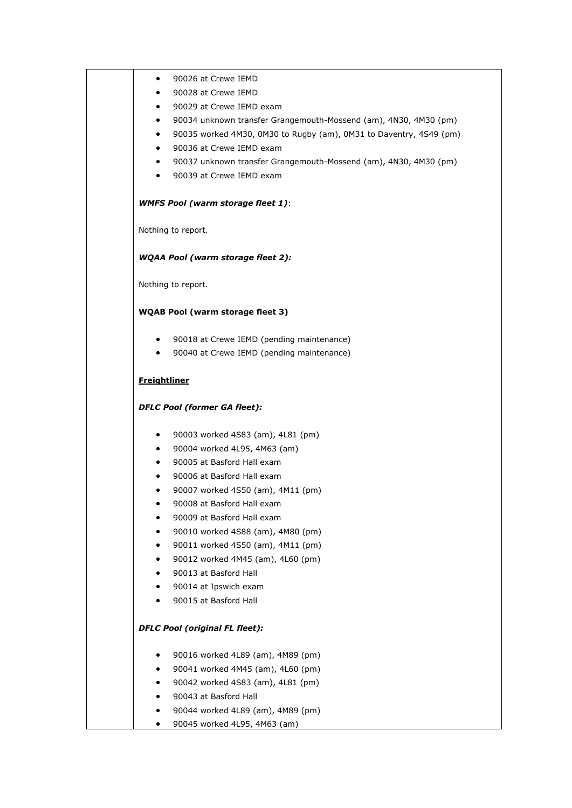|                     | 90026 at Crewe IEMD                                                |
|---------------------|--------------------------------------------------------------------|
|                     | 90028 at Crewe IEMD                                                |
| $\bullet$           | 90029 at Crewe IEMD exam                                           |
| $\bullet$           | 90034 unknown transfer Grangemouth-Mossend (am), 4N30, 4M30 (pm)   |
| $\bullet$           | 90035 worked 4M30, 0M30 to Rugby (am), 0M31 to Daventry, 4S49 (pm) |
|                     | 90036 at Crewe IEMD exam                                           |
| $\bullet$           | 90037 unknown transfer Grangemouth-Mossend (am), 4N30, 4M30 (pm)   |
| $\bullet$           | 90039 at Crewe IEMD exam                                           |
|                     | <b>WMFS Pool (warm storage fleet 1):</b>                           |
|                     | Nothing to report.                                                 |
|                     | <b>WQAA Pool (warm storage fleet 2):</b>                           |
|                     | Nothing to report.                                                 |
|                     | <b>WQAB Pool (warm storage fleet 3)</b>                            |
|                     | 90018 at Crewe IEMD (pending maintenance)                          |
| $\bullet$           | 90040 at Crewe IEMD (pending maintenance)                          |
| <b>Freightliner</b> |                                                                    |
|                     | <b>DFLC Pool (former GA fleet):</b>                                |
| $\bullet$           | 90003 worked 4S83 (am), 4L81 (pm)                                  |
| $\bullet$           | 90004 worked 4L95, 4M63 (am)                                       |
| $\bullet$           | 90005 at Basford Hall exam                                         |
|                     | 90006 at Basford Hall exam                                         |
|                     | 90007 worked 4S50 (am), 4M11 (pm)                                  |
|                     | 90008 at Basford Hall exam                                         |
|                     | 90009 at Basford Hall exam                                         |
|                     | 90010 worked 4S88 (am), 4M80 (pm)                                  |
|                     | 90011 worked 4S50 (am), 4M11 (pm)                                  |
|                     | 90012 worked 4M45 (am), 4L60 (pm)                                  |
|                     | 90013 at Basford Hall                                              |
|                     | 90014 at Ipswich exam                                              |
|                     | 90015 at Basford Hall                                              |
|                     | <b>DFLC Pool (original FL fleet):</b>                              |
|                     | 90016 worked 4L89 (am), 4M89 (pm)                                  |
|                     | 90041 worked 4M45 (am), 4L60 (pm)                                  |
|                     |                                                                    |
|                     | 90042 worked 4S83 (am), 4L81 (pm)                                  |
|                     | 90043 at Basford Hall                                              |
|                     | 90044 worked 4L89 (am), 4M89 (pm)                                  |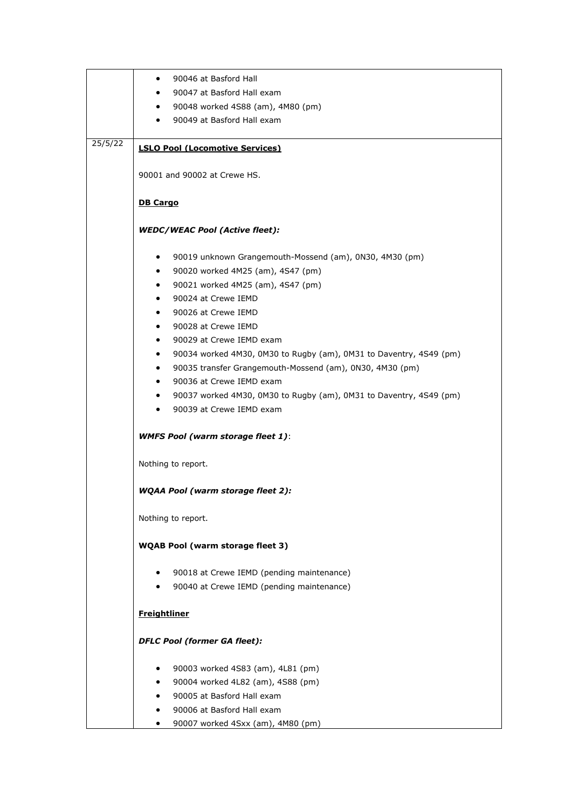|         | 90046 at Basford Hall<br>$\bullet$                                                             |
|---------|------------------------------------------------------------------------------------------------|
|         | 90047 at Basford Hall exam<br>$\bullet$                                                        |
|         | 90048 worked 4S88 (am), 4M80 (pm)<br>$\bullet$                                                 |
|         | 90049 at Basford Hall exam<br>$\bullet$                                                        |
|         |                                                                                                |
| 25/5/22 | <b>LSLO Pool (Locomotive Services)</b>                                                         |
|         |                                                                                                |
|         | 90001 and 90002 at Crewe HS.                                                                   |
|         |                                                                                                |
|         | <b>DB Cargo</b>                                                                                |
|         |                                                                                                |
|         | <b>WEDC/WEAC Pool (Active fleet):</b>                                                          |
|         |                                                                                                |
|         | 90019 unknown Grangemouth-Mossend (am), 0N30, 4M30 (pm)<br>$\bullet$                           |
|         | 90020 worked 4M25 (am), 4S47 (pm)<br>$\bullet$                                                 |
|         | 90021 worked 4M25 (am), 4S47 (pm)<br>$\bullet$                                                 |
|         | 90024 at Crewe IEMD<br>$\bullet$                                                               |
|         | 90026 at Crewe IEMD<br>$\bullet$                                                               |
|         | 90028 at Crewe IEMD<br>$\bullet$                                                               |
|         | 90029 at Crewe IEMD exam<br>$\bullet$                                                          |
|         | 90034 worked 4M30, 0M30 to Rugby (am), 0M31 to Daventry, 4S49 (pm)<br>$\bullet$                |
|         | 90035 transfer Grangemouth-Mossend (am), 0N30, 4M30 (pm)<br>$\bullet$                          |
|         | 90036 at Crewe IEMD exam<br>$\bullet$                                                          |
|         | $\bullet$                                                                                      |
|         | 90037 worked 4M30, 0M30 to Rugby (am), 0M31 to Daventry, 4S49 (pm)<br>90039 at Crewe IEMD exam |
|         | $\bullet$                                                                                      |
|         | <b>WMFS Pool (warm storage fleet 1):</b>                                                       |
|         |                                                                                                |
|         | Nothing to report.                                                                             |
|         |                                                                                                |
|         | WQAA Pool (warm storage fleet 2):                                                              |
|         |                                                                                                |
|         | Nothing to report.                                                                             |
|         |                                                                                                |
|         | <b>WQAB Pool (warm storage fleet 3)</b>                                                        |
|         |                                                                                                |
|         | 90018 at Crewe IEMD (pending maintenance)<br>$\bullet$                                         |
|         | 90040 at Crewe IEMD (pending maintenance)<br>$\bullet$                                         |
|         |                                                                                                |
|         | <b>Freightliner</b>                                                                            |
|         |                                                                                                |
|         | <b>DFLC Pool (former GA fleet):</b>                                                            |
|         |                                                                                                |
|         | 90003 worked 4S83 (am), 4L81 (pm)<br>$\bullet$                                                 |
|         | 90004 worked 4L82 (am), 4S88 (pm)<br>$\bullet$                                                 |
|         | 90005 at Basford Hall exam<br>$\bullet$                                                        |
|         | 90006 at Basford Hall exam<br>$\bullet$                                                        |
|         | 90007 worked 4Sxx (am), 4M80 (pm)<br>$\bullet$                                                 |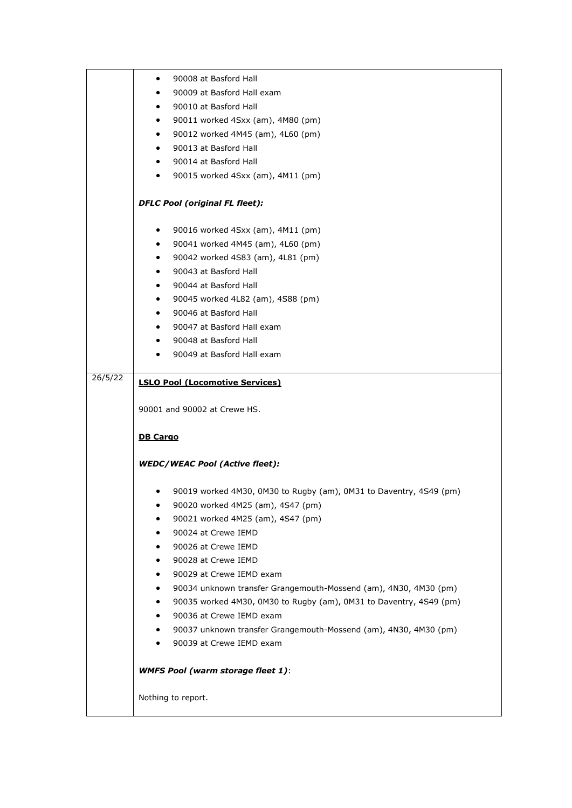|         | 90008 at Basford Hall<br>$\bullet$                                            |
|---------|-------------------------------------------------------------------------------|
|         | 90009 at Basford Hall exam                                                    |
|         | 90010 at Basford Hall<br>$\bullet$                                            |
|         | 90011 worked 4Sxx (am), 4M80 (pm)<br>$\bullet$                                |
|         | 90012 worked 4M45 (am), 4L60 (pm)<br>$\bullet$                                |
|         | 90013 at Basford Hall<br>$\bullet$                                            |
|         | 90014 at Basford Hall<br>$\bullet$                                            |
|         | 90015 worked 4Sxx (am), 4M11 (pm)<br>$\bullet$                                |
|         | <b>DFLC Pool (original FL fleet):</b>                                         |
|         |                                                                               |
|         | 90016 worked 4Sxx (am), 4M11 (pm)<br>$\bullet$                                |
|         | 90041 worked 4M45 (am), 4L60 (pm)<br>$\bullet$                                |
|         | 90042 worked 4S83 (am), 4L81 (pm)<br>$\bullet$                                |
|         | 90043 at Basford Hall<br>٠                                                    |
|         | 90044 at Basford Hall<br>$\bullet$                                            |
|         | 90045 worked 4L82 (am), 4S88 (pm)<br>$\bullet$                                |
|         | 90046 at Basford Hall<br>$\bullet$                                            |
|         | 90047 at Basford Hall exam<br>$\bullet$                                       |
|         | 90048 at Basford Hall                                                         |
|         | 90049 at Basford Hall exam<br>$\bullet$                                       |
| 26/5/22 | <b>LSLO Pool (Locomotive Services)</b>                                        |
|         | 90001 and 90002 at Crewe HS.                                                  |
|         |                                                                               |
|         | <b>DB Cargo</b>                                                               |
|         | <b>WEDC/WEAC Pool (Active fleet):</b>                                         |
|         |                                                                               |
|         | 90019 worked 4M30, 0M30 to Rugby (am), 0M31 to Daventry, 4S49 (pm)<br>٠       |
|         | 90020 worked 4M25 (am), 4S47 (pm)<br>٠                                        |
|         | 90021 worked 4M25 (am), 4S47 (pm)                                             |
|         | 90024 at Crewe IEMD                                                           |
|         | 90026 at Crewe IEMD<br>٠                                                      |
|         | 90028 at Crewe IEMD<br>٠                                                      |
|         | 90029 at Crewe IEMD exam<br>٠                                                 |
|         | 90034 unknown transfer Grangemouth-Mossend (am), 4N30, 4M30 (pm)              |
|         | 90035 worked 4M30, 0M30 to Rugby (am), 0M31 to Daventry, 4S49 (pm)            |
|         | 90036 at Crewe IEMD exam<br>$\bullet$                                         |
|         | 90037 unknown transfer Grangemouth-Mossend (am), 4N30, 4M30 (pm)<br>$\bullet$ |
|         | 90039 at Crewe IEMD exam<br>$\bullet$                                         |
|         | <b>WMFS Pool (warm storage fleet 1):</b>                                      |
|         | Nothing to report.                                                            |
|         |                                                                               |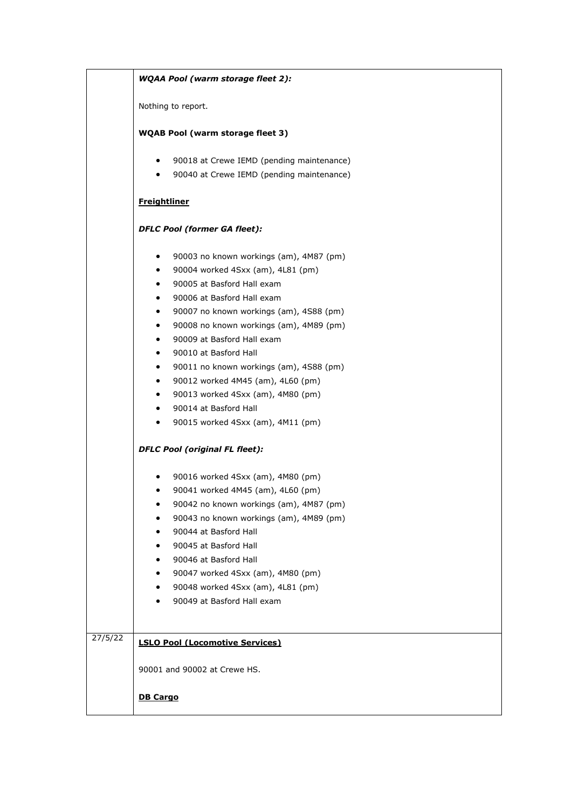|         | <b>WQAA Pool (warm storage fleet 2):</b>                                                                                                                                                                                                                                                                                                                                                                                                                                                                                                                                                                   |
|---------|------------------------------------------------------------------------------------------------------------------------------------------------------------------------------------------------------------------------------------------------------------------------------------------------------------------------------------------------------------------------------------------------------------------------------------------------------------------------------------------------------------------------------------------------------------------------------------------------------------|
|         | Nothing to report.                                                                                                                                                                                                                                                                                                                                                                                                                                                                                                                                                                                         |
|         | <b>WQAB Pool (warm storage fleet 3)</b>                                                                                                                                                                                                                                                                                                                                                                                                                                                                                                                                                                    |
|         | 90018 at Crewe IEMD (pending maintenance)<br>90040 at Crewe IEMD (pending maintenance)<br>$\bullet$                                                                                                                                                                                                                                                                                                                                                                                                                                                                                                        |
|         | <b>Freightliner</b>                                                                                                                                                                                                                                                                                                                                                                                                                                                                                                                                                                                        |
|         | <b>DFLC Pool (former GA fleet):</b>                                                                                                                                                                                                                                                                                                                                                                                                                                                                                                                                                                        |
|         | 90003 no known workings (am), 4M87 (pm)<br>$\bullet$<br>90004 worked 4Sxx (am), 4L81 (pm)<br>٠<br>90005 at Basford Hall exam<br>$\bullet$<br>90006 at Basford Hall exam<br>٠<br>90007 no known workings (am), 4S88 (pm)<br>٠<br>90008 no known workings (am), 4M89 (pm)<br>٠<br>90009 at Basford Hall exam<br>٠<br>90010 at Basford Hall<br>٠<br>90011 no known workings (am), 4S88 (pm)<br>٠<br>90012 worked 4M45 (am), 4L60 (pm)<br>٠<br>90013 worked 4Sxx (am), 4M80 (pm)<br>$\bullet$<br>90014 at Basford Hall<br>٠<br>90015 worked 4Sxx (am), 4M11 (pm)<br>٠<br><b>DFLC Pool (original FL fleet):</b> |
|         | 90016 worked 4Sxx (am), 4M80 (pm)<br>٠<br>90041 worked 4M45 (am), 4L60 (pm)<br>90042 no known workings (am), 4M87 (pm)<br>90043 no known workings (am), 4M89 (pm)<br>90044 at Basford Hall<br>90045 at Basford Hall<br>90046 at Basford Hall<br>90047 worked 4Sxx (am), 4M80 (pm)<br>90048 worked 4Sxx (am), 4L81 (pm)<br>90049 at Basford Hall exam                                                                                                                                                                                                                                                       |
| 27/5/22 | <b>LSLO Pool (Locomotive Services)</b>                                                                                                                                                                                                                                                                                                                                                                                                                                                                                                                                                                     |
|         | 90001 and 90002 at Crewe HS.<br><b>DB Cargo</b>                                                                                                                                                                                                                                                                                                                                                                                                                                                                                                                                                            |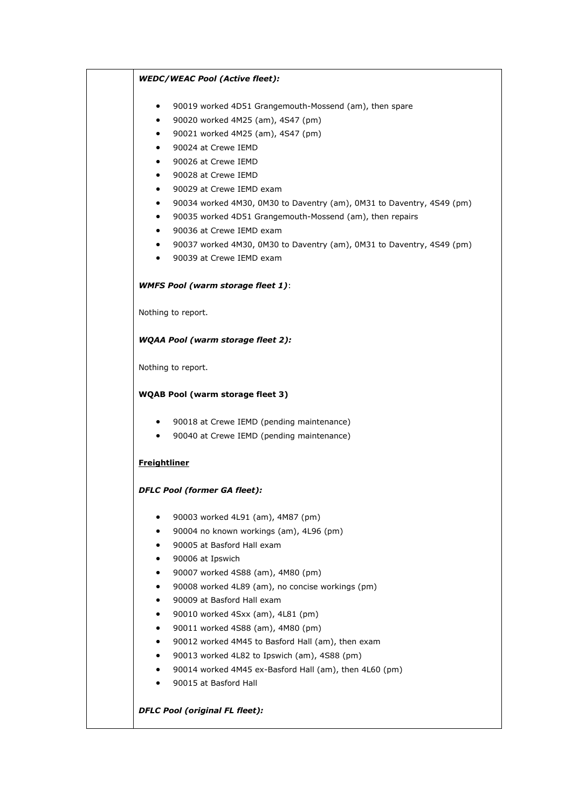| $\bullet$ | 90019 worked 4D51 Grangemouth-Mossend (am), then spare                                                 |
|-----------|--------------------------------------------------------------------------------------------------------|
| $\bullet$ | 90020 worked 4M25 (am), 4S47 (pm)                                                                      |
| $\bullet$ | 90021 worked 4M25 (am), 4S47 (pm)                                                                      |
| $\bullet$ | 90024 at Crewe IEMD                                                                                    |
| ٠         | 90026 at Crewe IEMD                                                                                    |
| $\bullet$ | 90028 at Crewe IEMD                                                                                    |
| ٠         | 90029 at Crewe IEMD exam                                                                               |
| $\bullet$ | 90034 worked 4M30, 0M30 to Daventry (am), 0M31 to Daventry, 4S49 (pm)                                  |
| $\bullet$ | 90035 worked 4D51 Grangemouth-Mossend (am), then repairs                                               |
|           | 90036 at Crewe IEMD exam                                                                               |
| $\bullet$ | 90037 worked 4M30, 0M30 to Daventry (am), 0M31 to Daventry, 4S49 (pm)                                  |
| $\bullet$ | 90039 at Crewe IEMD exam                                                                               |
|           | <b>WMFS Pool (warm storage fleet 1):</b>                                                               |
|           | Nothing to report.                                                                                     |
|           | <b>WQAA Pool (warm storage fleet 2):</b>                                                               |
|           |                                                                                                        |
|           | Nothing to report.                                                                                     |
|           | <b>WQAB Pool (warm storage fleet 3)</b>                                                                |
|           |                                                                                                        |
|           | 90018 at Crewe IEMD (pending maintenance)                                                              |
| $\bullet$ | 90040 at Crewe IEMD (pending maintenance)                                                              |
|           | <b>Freightliner</b>                                                                                    |
|           | <b>DFLC Pool (former GA fleet):</b>                                                                    |
| ٠         | 90003 worked 4L91 (am), 4M87 (pm)                                                                      |
|           | 90004 no known workings (am), 4L96 (pm)                                                                |
|           | 90005 at Basford Hall exam                                                                             |
| ٠         |                                                                                                        |
|           | 90006 at Ipswich<br>90007 worked 4S88 (am), 4M80 (pm)                                                  |
| ٠         |                                                                                                        |
| ٠         | 90008 worked 4L89 (am), no concise workings (pm)<br>90009 at Basford Hall exam                         |
| ٠         |                                                                                                        |
|           | 90010 worked 4Sxx (am), 4L81 (pm)                                                                      |
| ٠         | 90011 worked 4S88 (am), 4M80 (pm)                                                                      |
|           | 90012 worked 4M45 to Basford Hall (am), then exam                                                      |
| ٠         | 90013 worked 4L82 to Ipswich (am), 4S88 (pm)<br>90014 worked 4M45 ex-Basford Hall (am), then 4L60 (pm) |

 $\overline{\phantom{0}}$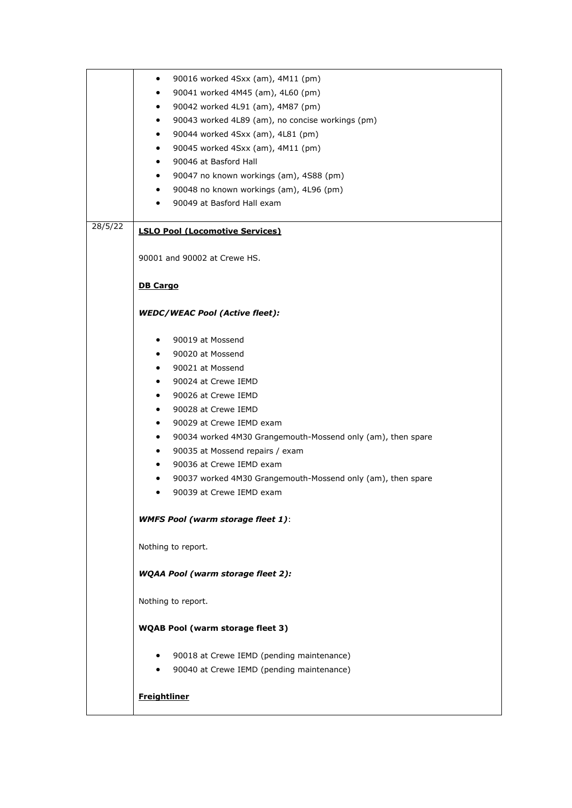|         | 90016 worked 4Sxx (am), 4M11 (pm)<br>٠                           |
|---------|------------------------------------------------------------------|
|         | 90041 worked 4M45 (am), 4L60 (pm)<br>٠                           |
|         | 90042 worked 4L91 (am), 4M87 (pm)<br>٠                           |
|         | 90043 worked 4L89 (am), no concise workings (pm)<br>٠            |
|         | 90044 worked 4Sxx (am), 4L81 (pm)<br>٠                           |
|         |                                                                  |
|         | 90045 worked 4Sxx (am), 4M11 (pm)<br>٠                           |
|         | 90046 at Basford Hall<br>٠                                       |
|         | 90047 no known workings (am), 4S88 (pm)<br>٠                     |
|         | 90048 no known workings (am), 4L96 (pm)<br>٠                     |
|         | 90049 at Basford Hall exam                                       |
|         |                                                                  |
| 28/5/22 | <b>LSLO Pool (Locomotive Services)</b>                           |
|         | 90001 and 90002 at Crewe HS.                                     |
|         |                                                                  |
|         | <b>DB Cargo</b>                                                  |
|         |                                                                  |
|         | <b>WEDC/WEAC Pool (Active fleet):</b>                            |
|         |                                                                  |
|         | 90019 at Mossend                                                 |
|         | 90020 at Mossend<br>$\bullet$                                    |
|         | 90021 at Mossend<br>$\bullet$                                    |
|         | 90024 at Crewe IEMD<br>٠                                         |
|         | 90026 at Crewe IEMD<br>٠                                         |
|         | 90028 at Crewe IEMD<br>٠                                         |
|         | 90029 at Crewe IEMD exam<br>٠                                    |
|         | 90034 worked 4M30 Grangemouth-Mossend only (am), then spare<br>٠ |
|         |                                                                  |
|         | 90035 at Mossend repairs / exam<br>٠                             |
|         | 90036 at Crewe IEMD exam<br>٠                                    |
|         | 90037 worked 4M30 Grangemouth-Mossend only (am), then spare      |
|         | 90039 at Crewe IEMD exam<br>٠                                    |
|         | <b>WMFS Pool (warm storage fleet 1):</b>                         |
|         | Nothing to report.                                               |
|         | <b>WQAA Pool (warm storage fleet 2):</b>                         |
|         | Nothing to report.                                               |
|         | <b>WQAB Pool (warm storage fleet 3)</b>                          |
|         |                                                                  |
|         | 90018 at Crewe IEMD (pending maintenance)<br>$\bullet$           |
|         | 90040 at Crewe IEMD (pending maintenance)                        |
|         | <b>Freightliner</b>                                              |
|         |                                                                  |